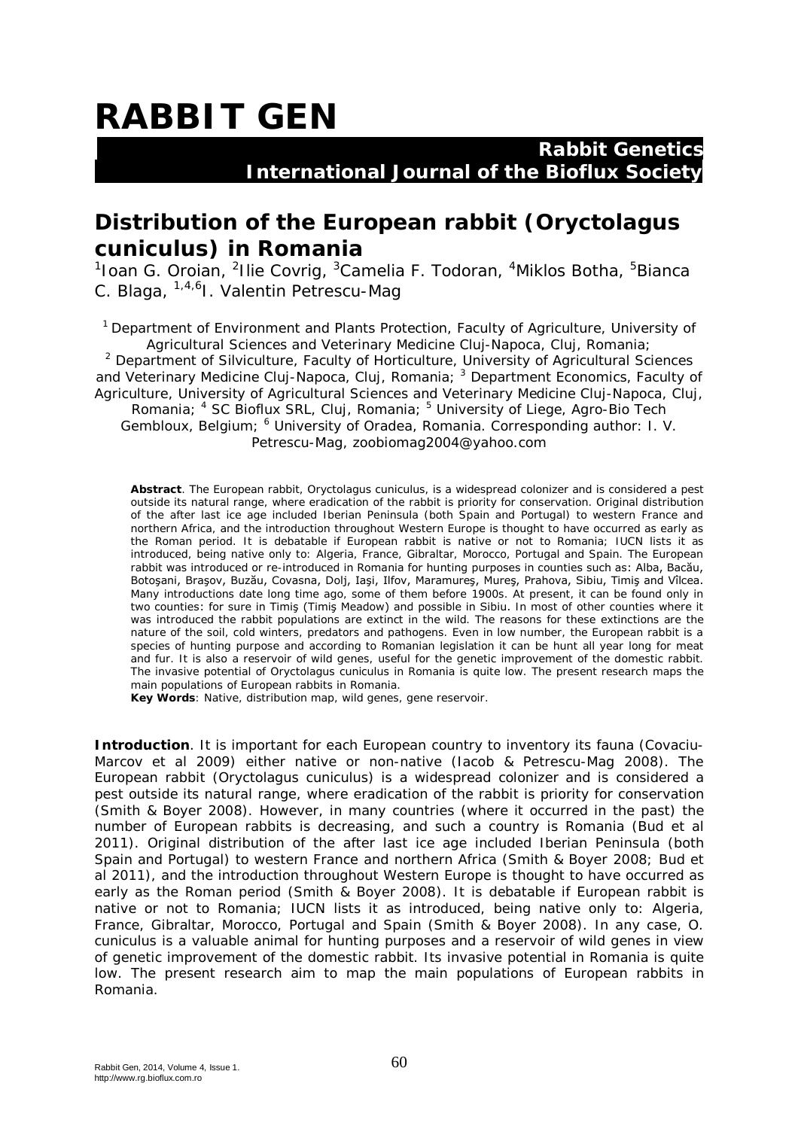## **RABBIT GEN**

## **Rabbit Genetics International Journal of the Bioflux Society**

## **Distribution of the European rabbit (***Oryctolagus cuniculus***) in Romania**

<sup>1</sup>Ioan G. Oroian, <sup>2</sup>Ilie Covrig, <sup>3</sup>Camelia F. Todoran, <sup>4</sup>Miklos Botha, <sup>5</sup>Bianca C. Blaga, 1,4,6I. Valentin Petrescu-Mag

<sup>1</sup> Department of Environment and Plants Protection, Faculty of Agriculture, University of Agricultural Sciences and Veterinary Medicine Cluj-Napoca, Cluj, Romania;

<sup>2</sup> Department of Silviculture, Faculty of Horticulture, University of Agricultural Sciences and Veterinary Medicine Cluj-Napoca, Cluj, Romania; <sup>3</sup> Department Economics, Faculty of Agriculture, University of Agricultural Sciences and Veterinary Medicine Cluj-Napoca, Cluj, Romania; <sup>4</sup> SC Bioflux SRL, Cluj, Romania; <sup>5</sup> University of Liege, Agro-Bio Tech Gembloux, Belgium; <sup>6</sup> University of Oradea, Romania. Corresponding author: I.V. Petrescu-Mag, zoobiomag2004@yahoo.com

**Abstract**. The European rabbit, *Oryctolagus cuniculus*, is a widespread colonizer and is considered a pest outside its natural range, where eradication of the rabbit is priority for conservation. Original distribution of the after last ice age included Iberian Peninsula (both Spain and Portugal) to western France and northern Africa, and the introduction throughout Western Europe is thought to have occurred as early as the Roman period. It is debatable if European rabbit is native or not to Romania; IUCN lists it as introduced, being native only to: Algeria, France, Gibraltar, Morocco, Portugal and Spain. The European rabbit was introduced or re-introduced in Romania for hunting purposes in counties such as: Alba, Bacău, Botoşani, Braşov, Buzău, Covasna, Dolj, Iaşi, Ilfov, Maramureş, Mureş, Prahova, Sibiu, Timiş and Vîlcea. Many introductions date long time ago, some of them before 1900s. At present, it can be found only in two counties: for sure in Timiş (Timiş Meadow) and possible in Sibiu. In most of other counties where it was introduced the rabbit populations are extinct in the wild. The reasons for these extinctions are the nature of the soil, cold winters, predators and pathogens. Even in low number, the European rabbit is a species of hunting purpose and according to Romanian legislation it can be hunt all year long for meat and fur. It is also a reservoir of wild genes, useful for the genetic improvement of the domestic rabbit. The invasive potential of *Oryctolagus cuniculus* in Romania is quite low. The present research maps the main populations of European rabbits in Romania.

**Key Words**: Native, distribution map, wild genes, gene reservoir.

**Introduction**. It is important for each European country to inventory its fauna (Covaciu-Marcov et al 2009) either native or non-native (Iacob & Petrescu-Mag 2008). The European rabbit (*Oryctolagus cuniculus*) is a widespread colonizer and is considered a pest outside its natural range, where eradication of the rabbit is priority for conservation (Smith & Boyer 2008). However, in many countries (where it occurred in the past) the number of European rabbits is decreasing, and such a country is Romania (Bud et al 2011). Original distribution of the after last ice age included Iberian Peninsula (both Spain and Portugal) to western France and northern Africa (Smith & Boyer 2008; Bud et al 2011), and the introduction throughout Western Europe is thought to have occurred as early as the Roman period (Smith & Boyer 2008). It is debatable if European rabbit is native or not to Romania; IUCN lists it as introduced, being native only to: Algeria, France, Gibraltar, Morocco, Portugal and Spain (Smith & Boyer 2008). In any case, *O. cuniculus* is a valuable animal for hunting purposes and a reservoir of wild genes in view of genetic improvement of the domestic rabbit. Its invasive potential in Romania is quite low. The present research aim to map the main populations of European rabbits in Romania.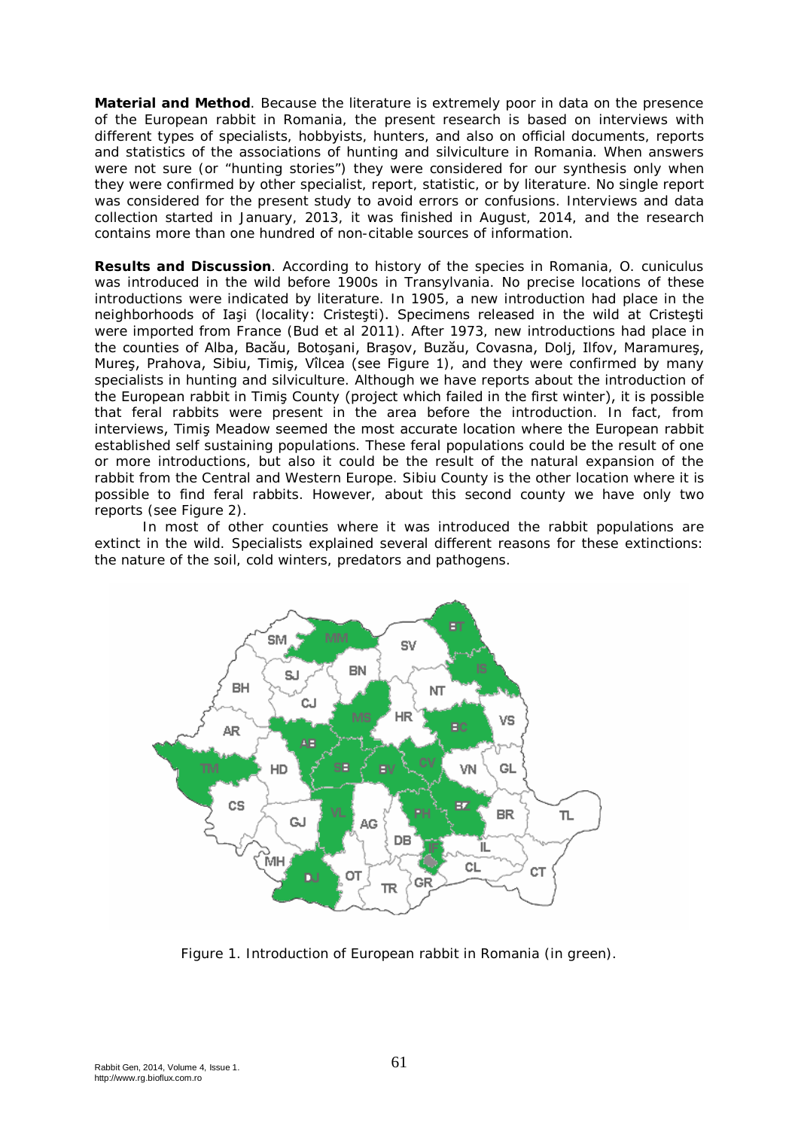**Material and Method**. Because the literature is extremely poor in data on the presence of the European rabbit in Romania, the present research is based on interviews with different types of specialists, hobbyists, hunters, and also on official documents, reports and statistics of the associations of hunting and silviculture in Romania. When answers were not sure (or "hunting stories") they were considered for our synthesis only when they were confirmed by other specialist, report, statistic, or by literature. No single report was considered for the present study to avoid errors or confusions. Interviews and data collection started in January, 2013, it was finished in August, 2014, and the research contains more than one hundred of non-citable sources of information.

**Results and Discussion**. According to history of the species in Romania, *O. cuniculus* was introduced in the wild before 1900s in Transylvania. No precise locations of these introductions were indicated by literature. In 1905, a new introduction had place in the neighborhoods of Iaşi (locality: Cristeşti). Specimens released in the wild at Cristeşti were imported from France (Bud et al 2011). After 1973, new introductions had place in the counties of Alba, Bacău, Botoşani, Braşov, Buzău, Covasna, Dolj, Ilfov, Maramureş, Mureş, Prahova, Sibiu, Timiş, Vîlcea (see Figure 1), and they were confirmed by many specialists in hunting and silviculture. Although we have reports about the introduction of the European rabbit in Timiş County (project which failed in the first winter), it is possible that feral rabbits were present in the area before the introduction. In fact, from interviews, Timiş Meadow seemed the most accurate location where the European rabbit established self sustaining populations. These feral populations could be the result of one or more introductions, but also it could be the result of the natural expansion of the rabbit from the Central and Western Europe. Sibiu County is the other location where it is possible to find feral rabbits. However, about this second county we have only two reports (see Figure 2).

In most of other counties where it was introduced the rabbit populations are extinct in the wild. Specialists explained several different reasons for these extinctions: the nature of the soil, cold winters, predators and pathogens.



Figure 1. Introduction of European rabbit in Romania (in green).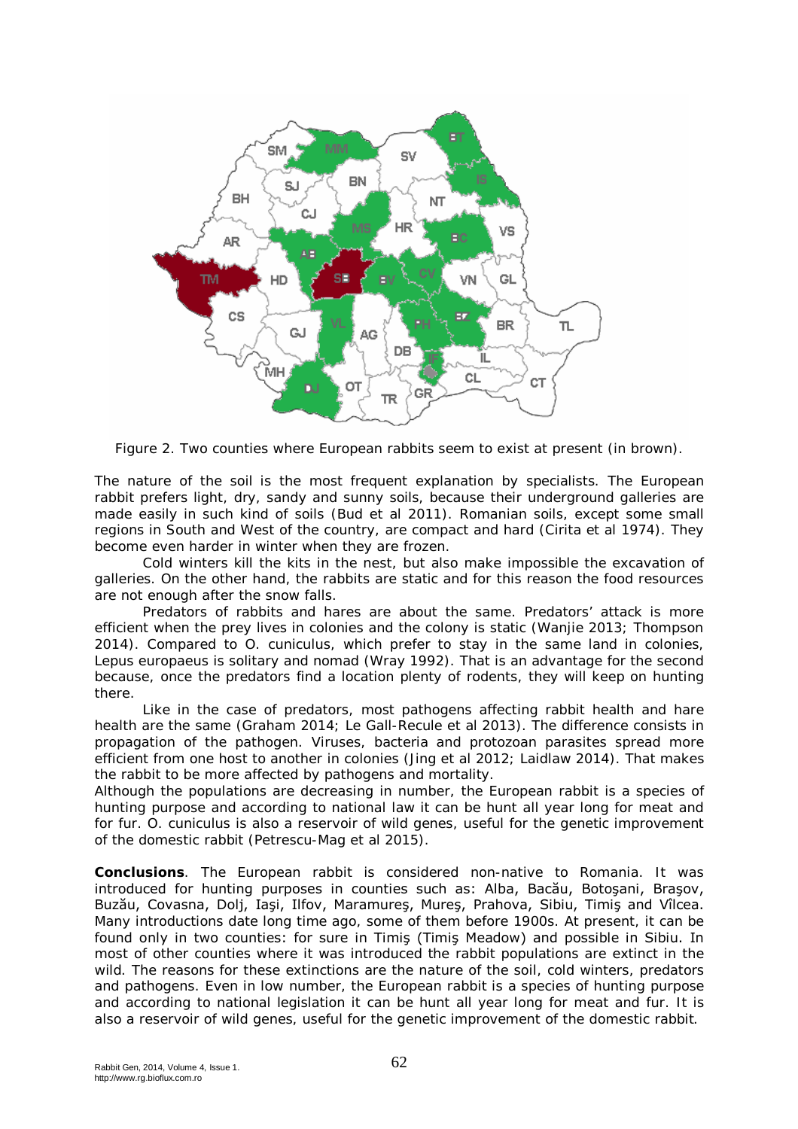

Figure 2. Two counties where European rabbits seem to exist at present (in brown).

The nature of the soil is the most frequent explanation by specialists. The European rabbit prefers light, dry, sandy and sunny soils, because their underground galleries are made easily in such kind of soils (Bud et al 2011). Romanian soils, except some small regions in South and West of the country, are compact and hard (Cirita et al 1974). They become even harder in winter when they are frozen.

Cold winters kill the kits in the nest, but also make impossible the excavation of galleries. On the other hand, the rabbits are static and for this reason the food resources are not enough after the snow falls.

Predators of rabbits and hares are about the same. Predators' attack is more efficient when the prey lives in colonies and the colony is static (Wanjie 2013; Thompson 2014). Compared to *O. cuniculus*, which prefer to stay in the same land in colonies, *Lepus europaeus* is solitary and nomad (Wray 1992). That is an advantage for the second because, once the predators find a location plenty of rodents, they will keep on hunting there.

Like in the case of predators, most pathogens affecting rabbit health and hare health are the same (Graham 2014; Le Gall-Recule et al 2013). The difference consists in propagation of the pathogen. Viruses, bacteria and protozoan parasites spread more efficient from one host to another in colonies (Jing et al 2012; Laidlaw 2014). That makes the rabbit to be more affected by pathogens and mortality.

Although the populations are decreasing in number, the European rabbit is a species of hunting purpose and according to national law it can be hunt all year long for meat and for fur. *O. cuniculus* is also a reservoir of wild genes, useful for the genetic improvement of the domestic rabbit (Petrescu-Mag et al 2015).

**Conclusions**. The European rabbit is considered non-native to Romania. It was introduced for hunting purposes in counties such as: Alba, Bacău, Botoşani, Braşov, Buzău, Covasna, Dolj, Iaşi, Ilfov, Maramureş, Mureş, Prahova, Sibiu, Timiş and Vîlcea. Many introductions date long time ago, some of them before 1900s. At present, it can be found only in two counties: for sure in Timiş (Timiş Meadow) and possible in Sibiu. In most of other counties where it was introduced the rabbit populations are extinct in the wild. The reasons for these extinctions are the nature of the soil, cold winters, predators and pathogens. Even in low number, the European rabbit is a species of hunting purpose and according to national legislation it can be hunt all year long for meat and fur. It is also a reservoir of wild genes, useful for the genetic improvement of the domestic rabbit.